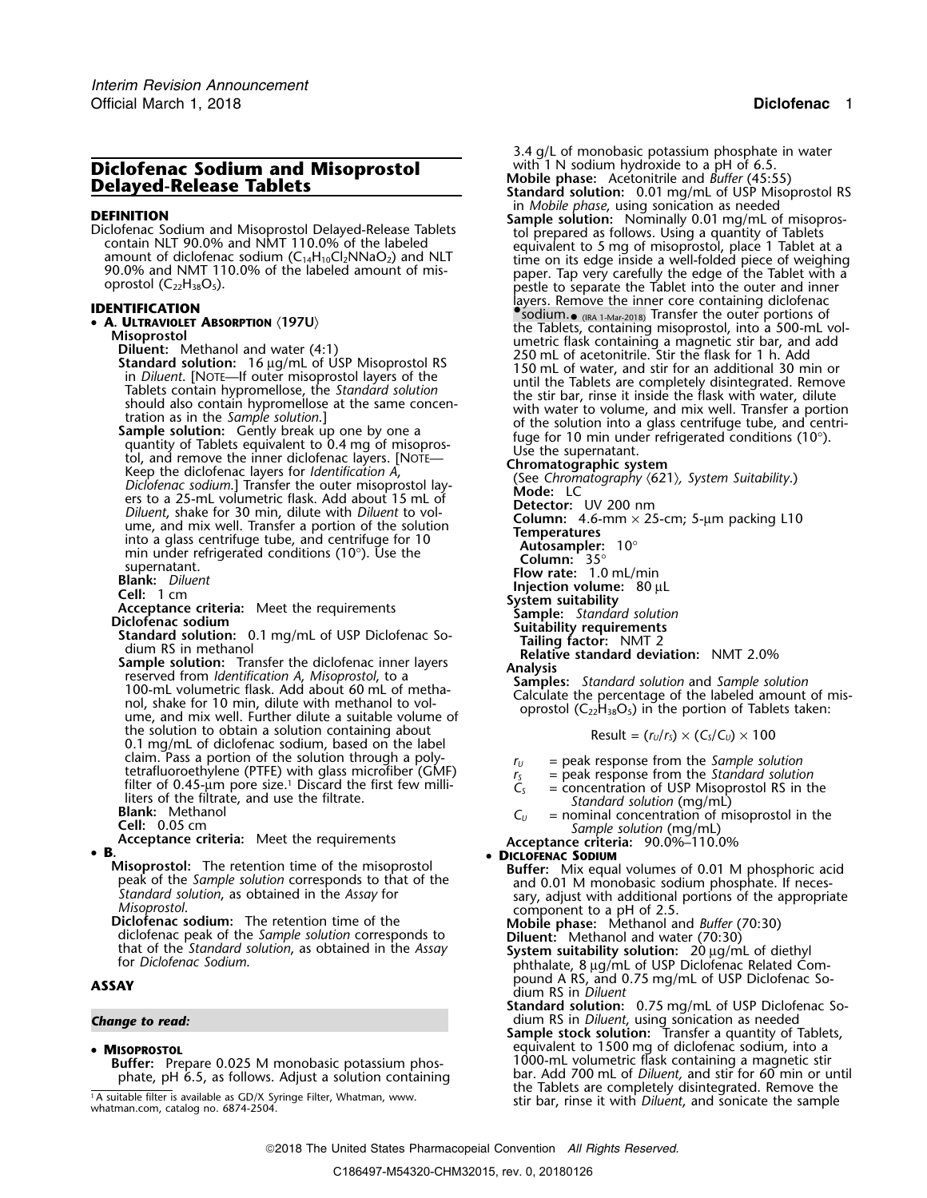# **Diclofenac Sodium and Misoprostol** With I N sodium hydroxide to a pH of 6.5.<br>**Delayed-Release Tablets Delayed-Release Tablets** Standard solution: 0.01 mg/ml of USP Misor

90.0% and NM1 110.0% of the labeled amount of mis-<br>oprostol (C<sub>22</sub>H<sub>38</sub>O<sub>5</sub>). pestle to separate the Tablet into the outer and inner

supernatant. Diluent<br> **Solution Cell:** 1 cm<br> **Cell:** 1 cm<br> **Cell:** 1 cm<br> **Cell:** 1 cm<br> **Cell:** 1 cm<br> **Cell:** 1 cm<br> **Cell:** 1 cm<br> **Cell:** 1 cm<br> **Cell:** 1 cm<br> **Cell:** 1 cm<br> **Cell:** 1 cm<br> **Cell:** 1 cm<br> **Cell:** 1 cm<br> **Cell:** the solution to obtain a solution containing about 0.1 mg/mL of diclofenac sodium, based on the label claim. Pass a portion of the solution through a polyclaim. Pass a portion of the solution through a poly-<br>tetrafluoroethylene (PTFE) with glass microfiber (GMF)  $r_s$  = peak response from the Standard solution<br>filter of 0.45-um pore size.<sup>1</sup> Discard the first few milli-<br>fil filter of 0.45-um pore size.<sup>1</sup> Discard the first few milli-<br>liters of the filtrate, and use the filtrate.<br>**Blank:** Methanol  $C_u$  = concentration of USP Misoprostol RS in the<br>**Cell:** 0.05 cm<br>**Acceptance criteria:** Meet th

**B.** •

**Misoprostol:** The retention time of the misoprostol **Buffer:** Mix equal volumes of 0.01 M phosphoric acid peak of the Sample solution corresponds to that of the and 0.01 M monobasic sodium phosphate. If neces-

Standard solution, as obtained in the Assay for<br>Misoprostol.<br>
Diclofenac sodium: The retention time of the<br>
diclofenac peak of the *Sample solution* corresponds to<br>
that of the *Standard solution*, as obtained in the Assay

•

### • MISOPROSTOL

<sup>1</sup>A suitable filter is available as GD/X Syringe Filter, Whatman, www. whatman.com, catalog no. 6874-2504.

3.4 g/L of monobasic potassium phosphate in water with 1 N sodium hydroxide to a pH of 6.5. **Standard solution:** 0.01 mg/mL of USP Misoprostol RS in *Mobile phase*, using sonication as needed **DEFINITION**<br>Diclofenac Sodium and Misoprostol Delayed-Release Tablets<br>Contain NLT 90.0% and NMT 110.0% of the labeled<br>amount of diclofenac sodium (C<sub>14</sub>H<sub>10</sub>Cl<sub>2</sub>NNaO<sub>2</sub>) and NLT<br>90.0% and NMT 110.0% of the labeled amount layers. Remove the inner core containing diclofenac **IDENTIFICATION** •.sodium.• (IRA 1-Mar-2018) Transfer the outer portions of •**A. Urraworer ABSORPTION** (197U)<br> **A. Urrawored the Tablets, containing misoprostol, into a S00-mL vol-<br>
Diluent:** Methanol and water (4:1)<br>
Diluent: Methanol and water (4:1)<br>
Internation of USP Misoprostol RS<br>
in Diluent

$$
Result = (r_U/r_S) \times (C_S/C_U) \times 100
$$

## **DICLOFENAC SODIUM**

pound A RS, and 0.75 mg/mL of USP Diclofenac So- **ASSAY** dium RS in *Diluent*

**Standard solution:** 0.75 mg/mL of USP Diclofenac So-*Change to read:* dium RS in *Diluent*, using sonication as needed

**Sample stock solution:** Transfer a quantity of Tablets, equivalent to 1500 mg of diclofenac sodium, into a **Buffer:** Prepare 0.025 M monobasic potassium phos-<br>phate, pH 6.5, as follows. Adjust a solution containing bar. Add 700 mL of *Diluent*, and stir for 60 min or u bar. Add 700 mL of *Diluent*, and stir for 60 min or until the Tablets are completely disintegrated. Remove the stir bar, rinse it with *Diluent*, and sonicate the sample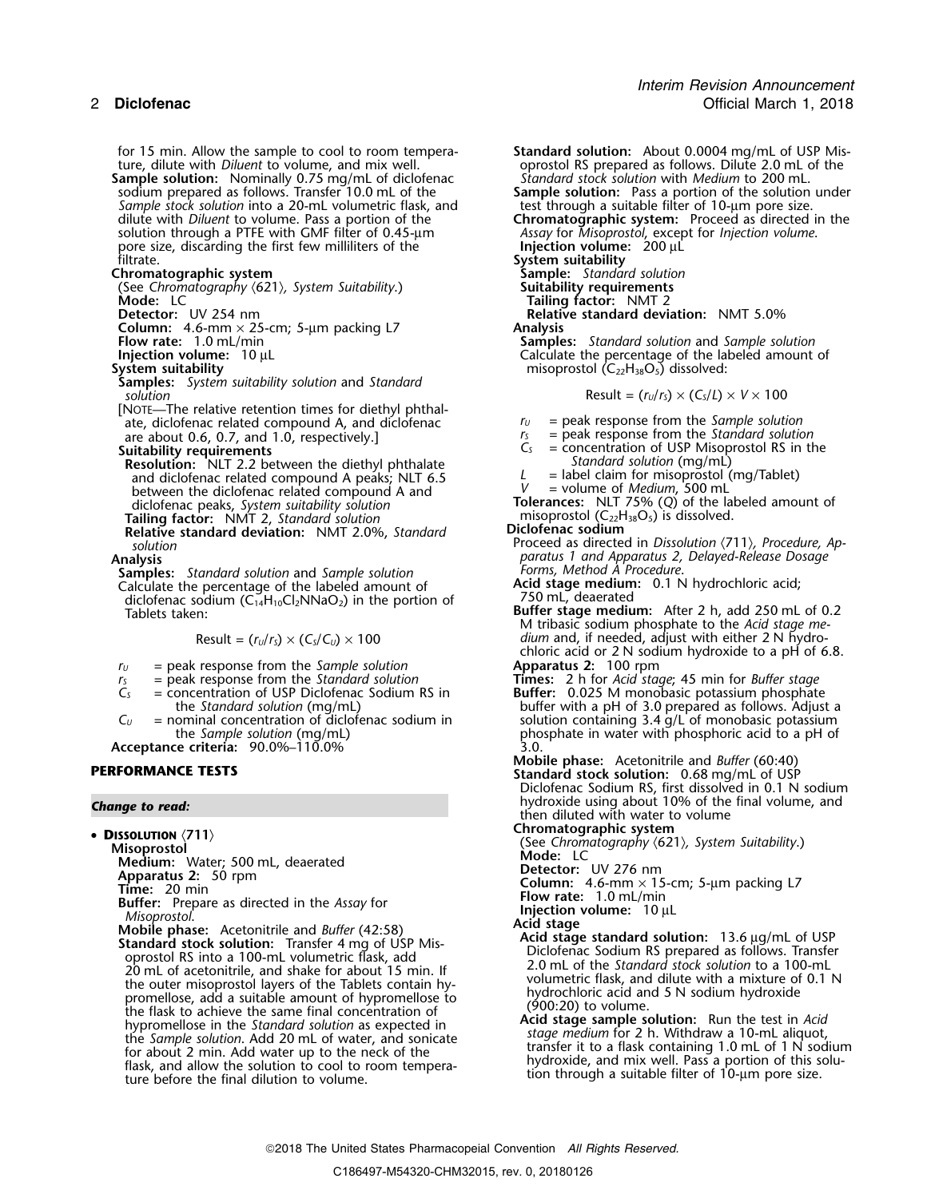for 15 min. Allow the sample to cool to room tempera- **Standard solution:** About 0.0004 mg/mL of USP Misture, dilute with *Diluent* to volume, and mix well. oprostol RS prepared as follows. Dilute 2.0 mL of the multime<br>
Standard stock solution with *Medium* to 200 mL. **Sample solution:** Nominally 0.75 mg/mL of diclofenac *Standard stock solution* with *Medium* to 200 mL. *Sample stock solution* into a 20-mL volumetric flask, and test through a suitable filter of 10-µm pore size. solution through a PTFE with GMF filter of 0.45-um pore size, discarding the first few milliliters of the filtrate. filtrate. **System suitability**

(See Chromatography  $\langle 621 \rangle$ , System Suitability.) **Mode:** LC

**Column:** 4.6-mm × 25-cm; 5-µm packing L7 **Analysis**

**Samples:** *System suitability solution* and *Standard*

[NOTE—The relative retention times for diethyl phthalate, diclofenac related compound A, and diclofenac *readment*  $r_U$  = peak response from the *Sample solution*<br>are about 0.6, 0.7, and 1.0, respectively 1  $r_S$  = peak response from the *Standard solution* are about 0.6, 0.7, and 1.0, respectively.] *r<sub>s</sub> r<sub>s</sub> c*<sub>s</sub> *c*<sub>s</sub>

- **Resolution: NLT** 2.2 between the diethyl phthalate<br>and diclofenac related compound A peaks; NLT 6.5 between the diclofenac related compound A and *diclofenac peaks, System suitability solution*
- **Relative standard deviation:** NMT 2.0%, *Standard solution*

- 
- **Samples:** *Standard solution* and *Sample solution* Calculate the percentage of the labeled amount of diclofenac sodium  $(C_{14}H_{10}Cl_2NNaO_2)$  in the portion of Tablets taken:

$$
Result = (r_U/r_S) \times (C_S/C_U) \times 100
$$

- $r_U$  = peak response from the *Sample solution*<br> $r_S$  = peak response from the *Standard solution*
- 
- 
- **Acceptance criteria:** 90.0%–110.0% 3.0.
- 

• DISSOLUTION (711) **Misoprostollon**<br>Misoprostol<br>Mode: LC Medium: Water: 500 ml deaerated **Mode: LC** Mode: LC **Medium:** Water; 500 mL, deaerated<br>**Apparatus 2:** 50 mm **Apparatus 2:** 50 rpm **Detector:** UV 276 nm<br> **Detector:** UV 276 nm x 15-cm; 5-µm packing L7<br> **Detector:** UV 276 nm x 15-cm; 5-µm packing L7 **Column:** 4.6-mm **Column:** 20 min **Columns Columns Columns Columns Columns Elow rate:** 1.0 mL/min *Misoprostol.*<br> **Columns Buffer:** Prepare as directed in the *Assay* for **Injection volume:** 10 µL **Mobile phase** Standard stock solution: Tax and Solution: Tax and Solution: Tax and Solution: Tax and Solution: Tax and Solution: Tax and Solution: Tax and Solution: Tax and Colomb optical and Solution: Tax and Colomb optical and Soluti flask, and allow the solution to cool to room tempera-<br>tion through a suitable filter of 10-µm pore size.<br>tion through a suitable filter of 10-µm pore size.

sodium prepared as follows. Transfer 10.0 mL of the **Sample solution:** Pass a portion of the solution under ordium prepared as follows. Transfer 10.0 mL of the<br>
Sample solution: Pass a portion of the solution under<br>
Sample solution: Pass a portion of the solution under<br>
dilute with *Diluent* to volume. Pass a portion of the<br>
so **Chromatographic system Sample:** *Standard solution* **Mode:** LC **Tailing factor:** NMT 2<br>Detector: UV 254 nm **1**<br>**Detector:** UV 254 nm **1 Relative standard deviation:** NMT 5.0% **Flow rate:** 1.0 mL/min **Samples:** *Standard solution* and *Sample solution* **Injection volume:** 10 µL **Calculate the percentage of the labeled amount of System suitability of the labeled amount of misoprostol (C<sub>22</sub>H<sub>38</sub>O<sub>5</sub>) dissolved:** misoprostol (C<sub>22</sub>H<sub>38</sub>O<sub>5</sub>) dissolved:  $Result = (r<sub>U</sub>/r<sub>S</sub>) \times (C<sub>S</sub>/L) \times V \times 100$ = concentration of USP Misoprostol RS in the *Standard solution* (mg/mL) L = label claim for misoprostol (mg/Tablet)<br>
v = volume of *Medium*, 500 mL diclofenac peaks, *System suitability solution* **Tolerances:** NLT 75% (*Q*) of the labeled amount of **Tailing factor:** NMT 2, *Standard solution* misoprostol (C<sub>22</sub>H<sub>38</sub>O<sub>5</sub>) is dissolved. misoprostol (C<sub>22</sub>H<sub>38</sub>O<sub>5</sub>) is dissolved.<br>**Diclofenac sodium** Proceed as directed in *Dissolution* 〈711〉*, Procedure, Ap- solution* **Analysis** *paratus 1 and Apparatus 2, Delayed-Release Dosage* Acid stage medium: 0.1 N hydrochloric acid;<br>750 mL, deaerated Buffer stage medium: After 2 h, add 250 mL of 0.2 M tribasic sodium phosphate to the *Acid stage me* $dium$  and, if needed, adjust with either 2 N hydrochloric acid or 2 N sodium hydroxide to a pH of 6.8.<br>**Apparatus 2:** 100 rpm *<sup>r</sup><sup>S</sup>* = peak response from the *Standard solution* **Times:** 2 h for *Acid stage*; 45 min for *Buffer stage C<sup>S</sup>* = concentration of USP Diclofenac Sodium RS in **Buffer:** 0.025 M monobasic potassium phosphate = concentration of USP Diclofenac Sodium RS in<br>the *Standard solution* (mg/mL) buffer with a pH of 3.0 prepared as follows. Adjust a<br>nominal concentration of diclofenac sodium in<br>solution containing 3.4 g/L of monobasic po  $C_U$  = nominal concentration of diclofenac sodium in solution containing 3.4 g/L of monobasic potassium<br>the *Sample solution* (mg/mL) phosphate in water with phosphoric acid to a pH of phosphate in water with phosphoric acid to a pH of 3.0. **Mobile phase:** Acetonitrile and *Buffer* (60:40) **PERFORMANCE TESTS Standard stock solution:** 0.68 mg/mL of USP Diclofenac Sodium RS, first dissolved in 0.1 N sodium hydroxide using about 10% of the final volume, and *Change to read:* then diluted with water to volume **<sup>D</sup>ISSOLUTION** 〈**711**〉 **Chromatographic system**

for about 2 min. Add water up to the contained transfer it to a flask containing 1.0 mL of 1 N sodium<br>flask and allow the solution to cool to room tempera.<br> $\frac{1}{2}$  hydroxide, and mix well. Pass a portion of this solu-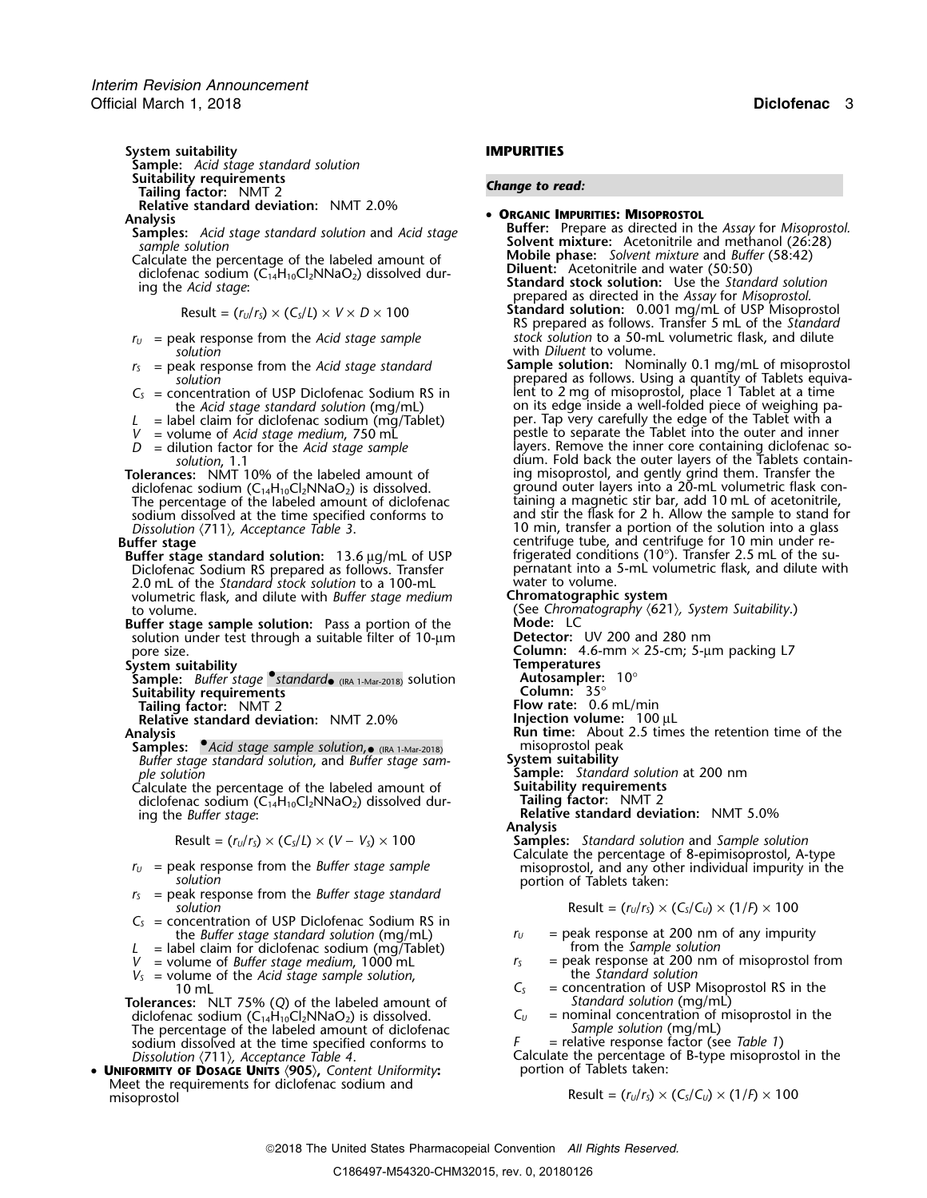**System suitability IMPURITIES Sample:** *Acid stage standard solution* **Suitability requirements** *Change to read:* **Tailing factor:** NMT 2 **Relative standard deviation:** NMT 2.0%

**Analysis**<br> **Analysis**<br> **Analysis**<br> **Analysis**<br> **Analysis**<br> **Analysis**<br> **Analysis**<br> **Analysis**<br> **Analysis**<br> **Analysis**<br> **Analysis**<br> **Analysis**<br> **Analysis**<br> **Analysis**<br> **Analysis**<br> **Analysis**<br> **Analysis**<br> **Analysis**<br> **Analy** 

Calculate the percentage of the labeled amount of **Mobile phase:** *Solvent mixture* and *Buff*<br>diclofenac sodium (C<sub>14</sub>H<sub>10</sub>Cl<sub>2</sub>NNaO<sub>2</sub>) dissolved dur-**the contract of the solution** of the solution of the solution

 $r_U$  = peak response from the *Acid stage sample* 

- $r<sub>S</sub>$  = peak response from the *Acid stage standard solution*
- 
- 
- 
- 

diclofenac sodium  $(C_{14}H_{10}Cl_2NNaO_2)$  is dissolved.<br>The percentage of the labeled amount of diclofenac sodium dissolved at the time specified conforms to Dissolution (711), Acceptance Table 3.

- Diclofenac Sodium RS prepared as follows. Transfer pernatant into a 5-mL volumetric flash per pernatant into a<br>The standard stock solution to a 100-mL vater to volume 2.0 mL of the *Standard stock solution* to a 100-mL volumetric flask, and dilute with *Buffer stage medium* **Chromatographic system**
- **Buffer stage sample solution:** Pass a portion of the **Mode:** LC<br>solution under test through a suitable filter of 10-um **Detector:** UV 200 and 280 nm solution under test through a suitable filter of 10-um pore size. **Column:** 4.6-mm × 25-cm; 5-µm packing L7<br> **Column:** 4.6-mm × 25-cm; 5-µm packing L7

**System suitability**<br>**Sample:** Buffer stage *Standard* Read and Solution **Temperatures**<br>Sample: Buffer stage *Standard* Read and Solution **Rules Sample:** *Buffer stage*  $\bullet$ *standard* (IRA 1-Mar-2018) solution **Autosampler:** 10° **Suitability requirements Column:** 35°<br> **Suitability requirements Column:** 35°<br> **Column:** 35°

**Relative standard deviation: NMT 2.0%** 

**Samples:** • *Acid stage sample solution*, *misoprostol peak • (IRA 1-Mar-2018)* • misoprostol peak *Buffer stage standard solution, and Buffer stage sam-*<br>ple solution

Calculate the percentage of the labeled amount of **Suitability requirements**<br>diclofenac sodium (C<sub>14</sub>H<sub>10</sub>Cl<sub>2</sub>NNaO<sub>2</sub>) dissolved dur-**Tailing factor:** NMT 2 diclofenac sodium (C<sub>14</sub>H<sub>10</sub>Cl<sub>2</sub>NNaO<sub>2</sub>) dissolved during the *Buffer stage*:

$$
Result = (r_U/r_S) \times (C_S/L) \times (V - V_S) \times 100
$$

- 
- *r* = peak response from the *Buffer stage standard*  $solution$  Result  $= (r_u/r_s) \times (C_s/C_u) \times (1/F) \times 100$
- $C<sub>S</sub>$  = concentration of USP Diclofenac Sodium RS in
- 
- *L* = label claim for diclofenac sodium (mg/Tablet)  $V =$  volume of *Buffer stage medium*, 1000 mL
- $V_s$  = volume of the *Acid stage sample solution*,  $C_s$

**Tolerances:** NLT 75% (Q) of the labeled amount of *Standard solution* (mg/mL)<br>diclofenac sodium (C<sub>14</sub>H<sub>10</sub>Cl<sub>2</sub>NNaO<sub>2</sub>) is dissolved. *C<sub>U</sub>* = nominal concentration of misoprostol in the diclofenac sodium  $(C_{14}H_{10}Cl_2NNaO_2)$  is dissolved.  $C_U$  = nominal concentration of The percentage of the labeled amount of diclofenac *Sample solution* (mg/mL) The percentage of the labeled amount of diclofenac *Sample solution* (mg/mL)<br>sodium dissolved at the time specified conforms to *F* = relative response factor (see Table 1) sodium dissolved at the time specified conforms to *Dissolution*  $\langle 711 \rangle$ , *Acceptance Table 4*.

• **<sup>U</sup>NIFORMITY OF DOSAGE UNITS** 〈**905**〉**,** *Content Uniformity***:** portion of Tablets taken: Meet the requirements for diclofenac sodium and

Solvent mixture: Acetonitrile and methanol (26:28)<br>sample solution<br>calculate the percentage of the labeled amount of Mobile phase: Solvent mixture and Buffer (58:42) diclofenac sodium (C<sub>14</sub>H<sub>10</sub>Cl<sub>2</sub>NNaO<sub>2</sub>) dissolved dur-<br>ing the Acid stage:<br>ing the Acid stage:<br>prepared as directed in the Assay for Misoprostol.

 ${\sf Result} = (r_U/r_S) \times (C_S/L) \times V \times D \times 100$  **Standard solution:** 0.001 mg/mL of USP Misoprostol RS prepared as follows. Transfer 5 mL of the *Standard*

*solution*<br>eak response from the *Acid stage standard* **Sample solution:** Nominally 0.1 mg/mL of misoprostol prepared as follows. Using a quantity of Tablets equiva-*C<sup>S</sup>* = concentration of USP Diclofenac Sodium RS in lent to 2 mg of misoprostol, place 1 Tablet at a time the *Acid stage standard solution* (mg/mL) on its edge inside a well-folded piece of weighing pathe *Acid stage standard solution* (mg/mL) on its edge inside a well-folded piece of weighing pa<br> *L* = label claim for diclofenac sodium (mg/Tablet) per. Tap very carefully the edge of the Tablet with a<br>
pestle to separat *V* = volume of *Acid stage medium*, 750 mL pestle to separate the Tablet into the outer and inner<br> *D* = dilution factor for the *Acid stage sample* layers. Remove the inner core containing diclofenac so layers. Remove the *inner* core containing diclofenac so*solution*, 1.1 and the layer and the property of the May dium. Fold back the outer layers of the Tablets contain-<br>**Tolerances:** NMT 10% of the labeled amount of ing misoprostol, and gently grind them. Transfer the ing misoprostol, and gently grind them. Transfer the ground outer layers into a 20-mL volumetric flask con-The percentage of the magnetic stir bar, add 10 mL of acetonitrile, and stir the flask for 2 h. Allow the sample to stand for *Dissolution* 〈711〉*, Acceptance Table 3*. 10 min, transfer a portion of the solution into a glass **Buffer stage** centrifuge tube, and centrifuge for 10 min under re-**Buffer stage standard solution:** 13.6 μg/mL of USP frigerated conditions (10°). Transfer 2.5 mL of the su-<br>Diclofenac Sodium RS prepared as follows. Transfer pernatant into a 5-mL volumetric flask, and dilute with

to volume.<br>Suffer stage sample solution: Pass a portion of the **Chromatography (621)**, *System Suitability*.

**Flow rate:** 0.6 mL/min

- 
- **Analysis**<br> **Analysis**<br> **Analysis**<br> **Analysis**<br> **Analysis**<br> **Analysis**<br> **Analysis**<br> **Run time:** About 2.5 times the retention time of the<br> **Analysis**<br> **Analysis**<br> **Analysis**<br> **Analysis**<br> **Analysis**<br> **Analysis**<br> **Analysis**

**System suitability<br>
<b>Sample:** *Standard solution* at 200 nm<br> **Suitability requirements** 

Relative standard deviation: NMT 5.0% **Analysis**

Result = (*<sup>r</sup>U*/*<sup>r</sup>S*) × (*CS*/*L*) × (*V* <sup>−</sup> *VS*) × 100 **Samples:** *Standard solution* and *Sample solution* Calculate the percentage of 8-epimisoprostol, A-type  $r_U$  = peak response from the *Buffer stage sample* misoprostol, and any other individual impurity in the *solution*<br> $r_S$  = peak response from the *Buffer stage standard* portion of Tablets taken:

$$
Result = (r_U/r_S) \times (C_S/C_U) \times (1/P) \times 100
$$

- the *Buffer stage standard solution* (mg/mL)  $r_U$  = peak response at 200 nm of any impurity bel claim for diclofenac sodium (mg/Tablet) from the *Sample solution* 
	- *<sup>V</sup>* = volume of *Buffer stage medium*, <sup>1000</sup> mL *<sup>r</sup><sup>S</sup>* = peak response at 200 nm of misoprostol from
	- = concentration of USP Misoprostol RS in the<br>Standard solution (mg/mL)
	-

Calculate the percentage of B-type misoprostol in the percentage of B-type misoprostol in the

Result =  $(r_U/r_S) \times (C_S/C_U) \times (1/F) \times 100$